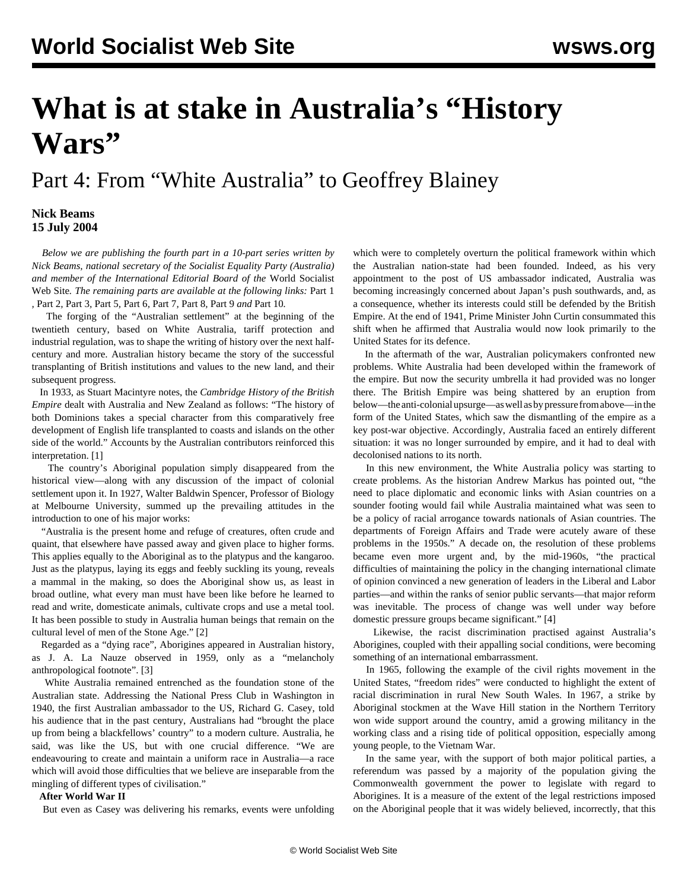# **What is at stake in Australia's "History Wars"**

## Part 4: From "White Australia" to Geoffrey Blainey

### **Nick Beams 15 July 2004**

 *Below we are publishing the fourth part in a 10-part series written by Nick Beams, national secretary of the Socialist Equality Party (Australia) and member of the International Editorial Board of the* World Socialist Web Site*. The remaining parts are available at the following links:* [Part 1](/en/articles/2004/07/hiw1-j12.html) *,* [Part 2](/en/articles/2004/07/hiw2-j13.html)*,* [Part 3](/en/articles/2004/07/hiw3-j14.html)*,* [Part 5](/en/articles/2004/07/hiw5-j16.html)*,* [Part 6](/en/articles/2004/07/hiw6-j19.html)*,* [Part 7](/en/articles/2004/07/hiw7-j20.html)*,* [Part 8](/en/articles/2004/07/hiw8-j21.html)*,* [Part 9](/en/articles/2004/07/hiw9-j22.html) *and* [Part 10](/en/articles/2004/07/hw10-j23.html)*.*

 The forging of the "Australian settlement" at the beginning of the twentieth century, based on White Australia, tariff protection and industrial regulation, was to shape the writing of history over the next halfcentury and more. Australian history became the story of the successful transplanting of British institutions and values to the new land, and their subsequent progress.

 In 1933, as Stuart Macintyre notes, the *Cambridge History of the British Empire* dealt with Australia and New Zealand as follows: "The history of both Dominions takes a special character from this comparatively free development of English life transplanted to coasts and islands on the other side of the world." Accounts by the Australian contributors reinforced this interpretation. [1]

 The country's Aboriginal population simply disappeared from the historical view—along with any discussion of the impact of colonial settlement upon it. In 1927, Walter Baldwin Spencer, Professor of Biology at Melbourne University, summed up the prevailing attitudes in the introduction to one of his major works:

 "Australia is the present home and refuge of creatures, often crude and quaint, that elsewhere have passed away and given place to higher forms. This applies equally to the Aboriginal as to the platypus and the kangaroo. Just as the platypus, laying its eggs and feebly suckling its young, reveals a mammal in the making, so does the Aboriginal show us, as least in broad outline, what every man must have been like before he learned to read and write, domesticate animals, cultivate crops and use a metal tool. It has been possible to study in Australia human beings that remain on the cultural level of men of the Stone Age." [2]

 Regarded as a "dying race", Aborigines appeared in Australian history, as J. A. La Nauze observed in 1959, only as a "melancholy anthropological footnote". [3]

 White Australia remained entrenched as the foundation stone of the Australian state. Addressing the National Press Club in Washington in 1940, the first Australian ambassador to the US, Richard G. Casey, told his audience that in the past century, Australians had "brought the place up from being a blackfellows' country" to a modern culture. Australia, he said, was like the US, but with one crucial difference. "We are endeavouring to create and maintain a uniform race in Australia—a race which will avoid those difficulties that we believe are inseparable from the mingling of different types of civilisation."

#### **After World War II**

But even as Casey was delivering his remarks, events were unfolding

which were to completely overturn the political framework within which the Australian nation-state had been founded. Indeed, as his very appointment to the post of US ambassador indicated, Australia was becoming increasingly concerned about Japan's push southwards, and, as a consequence, whether its interests could still be defended by the British Empire. At the end of 1941, Prime Minister John Curtin consummated this shift when he affirmed that Australia would now look primarily to the United States for its defence.

 In the aftermath of the war, Australian policymakers confronted new problems. White Australia had been developed within the framework of the empire. But now the security umbrella it had provided was no longer there. The British Empire was being shattered by an eruption from below—the anti-colonial upsurge—as well as by pressure from above—in the form of the United States, which saw the dismantling of the empire as a key post-war objective. Accordingly, Australia faced an entirely different situation: it was no longer surrounded by empire, and it had to deal with decolonised nations to its north.

 In this new environment, the White Australia policy was starting to create problems. As the historian Andrew Markus has pointed out, "the need to place diplomatic and economic links with Asian countries on a sounder footing would fail while Australia maintained what was seen to be a policy of racial arrogance towards nationals of Asian countries. The departments of Foreign Affairs and Trade were acutely aware of these problems in the 1950s." A decade on, the resolution of these problems became even more urgent and, by the mid-1960s, "the practical difficulties of maintaining the policy in the changing international climate of opinion convinced a new generation of leaders in the Liberal and Labor parties—and within the ranks of senior public servants—that major reform was inevitable. The process of change was well under way before domestic pressure groups became significant." [4]

 Likewise, the racist discrimination practised against Australia's Aborigines, coupled with their appalling social conditions, were becoming something of an international embarrassment.

 In 1965, following the example of the civil rights movement in the United States, "freedom rides" were conducted to highlight the extent of racial discrimination in rural New South Wales. In 1967, a strike by Aboriginal stockmen at the Wave Hill station in the Northern Territory won wide support around the country, amid a growing militancy in the working class and a rising tide of political opposition, especially among young people, to the Vietnam War.

 In the same year, with the support of both major political parties, a referendum was passed by a majority of the population giving the Commonwealth government the power to legislate with regard to Aborigines. It is a measure of the extent of the legal restrictions imposed on the Aboriginal people that it was widely believed, incorrectly, that this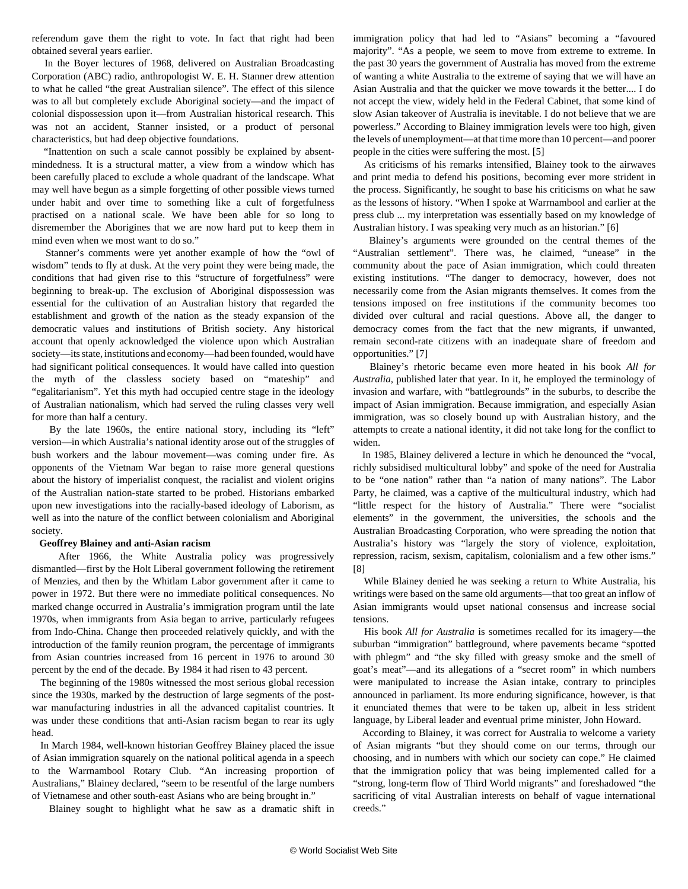referendum gave them the right to vote. In fact that right had been obtained several years earlier.

 In the Boyer lectures of 1968, delivered on Australian Broadcasting Corporation (ABC) radio, anthropologist W. E. H. Stanner drew attention to what he called "the great Australian silence". The effect of this silence was to all but completely exclude Aboriginal society—and the impact of colonial dispossession upon it—from Australian historical research. This was not an accident, Stanner insisted, or a product of personal characteristics, but had deep objective foundations.

 "Inattention on such a scale cannot possibly be explained by absentmindedness. It is a structural matter, a view from a window which has been carefully placed to exclude a whole quadrant of the landscape. What may well have begun as a simple forgetting of other possible views turned under habit and over time to something like a cult of forgetfulness practised on a national scale. We have been able for so long to disremember the Aborigines that we are now hard put to keep them in mind even when we most want to do so."

 Stanner's comments were yet another example of how the "owl of wisdom" tends to fly at dusk. At the very point they were being made, the conditions that had given rise to this "structure of forgetfulness" were beginning to break-up. The exclusion of Aboriginal dispossession was essential for the cultivation of an Australian history that regarded the establishment and growth of the nation as the steady expansion of the democratic values and institutions of British society. Any historical account that openly acknowledged the violence upon which Australian society—its state, institutions and economy—had been founded, would have had significant political consequences. It would have called into question the myth of the classless society based on "mateship" and "egalitarianism". Yet this myth had occupied centre stage in the ideology of Australian nationalism, which had served the ruling classes very well for more than half a century.

 By the late 1960s, the entire national story, including its "left" version—in which Australia's national identity arose out of the struggles of bush workers and the labour movement—was coming under fire. As opponents of the Vietnam War began to raise more general questions about the history of imperialist conquest, the racialist and violent origins of the Australian nation-state started to be probed. Historians embarked upon new investigations into the racially-based ideology of Laborism, as well as into the nature of the conflict between colonialism and Aboriginal society.

#### **Geoffrey Blainey and anti-Asian racism**

 After 1966, the White Australia policy was progressively dismantled—first by the Holt Liberal government following the retirement of Menzies, and then by the Whitlam Labor government after it came to power in 1972. But there were no immediate political consequences. No marked change occurred in Australia's immigration program until the late 1970s, when immigrants from Asia began to arrive, particularly refugees from Indo-China. Change then proceeded relatively quickly, and with the introduction of the family reunion program, the percentage of immigrants from Asian countries increased from 16 percent in 1976 to around 30 percent by the end of the decade. By 1984 it had risen to 43 percent.

 The beginning of the 1980s witnessed the most serious global recession since the 1930s, marked by the destruction of large segments of the postwar manufacturing industries in all the advanced capitalist countries. It was under these conditions that anti-Asian racism began to rear its ugly head.

 In March 1984, well-known historian Geoffrey Blainey placed the issue of Asian immigration squarely on the national political agenda in a speech to the Warrnambool Rotary Club. "An increasing proportion of Australians," Blainey declared, "seem to be resentful of the large numbers of Vietnamese and other south-east Asians who are being brought in."

Blainey sought to highlight what he saw as a dramatic shift in

immigration policy that had led to "Asians" becoming a "favoured majority". "As a people, we seem to move from extreme to extreme. In the past 30 years the government of Australia has moved from the extreme of wanting a white Australia to the extreme of saying that we will have an Asian Australia and that the quicker we move towards it the better.... I do not accept the view, widely held in the Federal Cabinet, that some kind of slow Asian takeover of Australia is inevitable. I do not believe that we are powerless." According to Blainey immigration levels were too high, given the levels of unemployment—at that time more than 10 percent—and poorer people in the cities were suffering the most. [5]

 As criticisms of his remarks intensified, Blainey took to the airwaves and print media to defend his positions, becoming ever more strident in the process. Significantly, he sought to base his criticisms on what he saw as the lessons of history. "When I spoke at Warrnambool and earlier at the press club ... my interpretation was essentially based on my knowledge of Australian history. I was speaking very much as an historian." [6]

 Blainey's arguments were grounded on the central themes of the "Australian settlement". There was, he claimed, "unease" in the community about the pace of Asian immigration, which could threaten existing institutions. "The danger to democracy, however, does not necessarily come from the Asian migrants themselves. It comes from the tensions imposed on free institutions if the community becomes too divided over cultural and racial questions. Above all, the danger to democracy comes from the fact that the new migrants, if unwanted, remain second-rate citizens with an inadequate share of freedom and opportunities." [7]

 Blainey's rhetoric became even more heated in his book *All for Australia,* published later that year. In it, he employed the terminology of invasion and warfare, with "battlegrounds" in the suburbs, to describe the impact of Asian immigration. Because immigration, and especially Asian immigration, was so closely bound up with Australian history, and the attempts to create a national identity, it did not take long for the conflict to widen.

 In 1985, Blainey delivered a lecture in which he denounced the "vocal, richly subsidised multicultural lobby" and spoke of the need for Australia to be "one nation" rather than "a nation of many nations". The Labor Party, he claimed, was a captive of the multicultural industry, which had "little respect for the history of Australia." There were "socialist elements" in the government, the universities, the schools and the Australian Broadcasting Corporation, who were spreading the notion that Australia's history was "largely the story of violence, exploitation, repression, racism, sexism, capitalism, colonialism and a few other isms." [8]

 While Blainey denied he was seeking a return to White Australia, his writings were based on the same old arguments—that too great an inflow of Asian immigrants would upset national consensus and increase social tensions.

 His book *All for Australia* is sometimes recalled for its imagery—the suburban "immigration" battleground, where pavements became "spotted with phlegm" and "the sky filled with greasy smoke and the smell of goat's meat"—and its allegations of a "secret room" in which numbers were manipulated to increase the Asian intake, contrary to principles announced in parliament. Its more enduring significance, however, is that it enunciated themes that were to be taken up, albeit in less strident language, by Liberal leader and eventual prime minister, John Howard.

 According to Blainey, it was correct for Australia to welcome a variety of Asian migrants "but they should come on our terms, through our choosing, and in numbers with which our society can cope." He claimed that the immigration policy that was being implemented called for a "strong, long-term flow of Third World migrants" and foreshadowed "the sacrificing of vital Australian interests on behalf of vague international creeds."